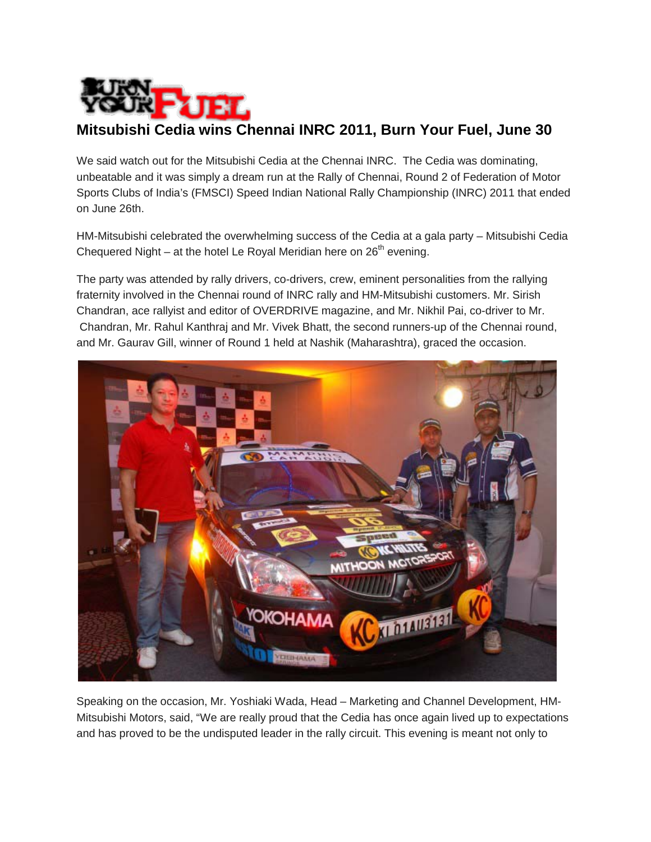

## **Mitsubishi Cedia wins Chennai INRC 2011, Burn Your Fuel, June 30**

We said watch out for the Mitsubishi Cedia at the Chennai INRC. The Cedia was dominating, unbeatable and it was simply a dream run at the Rally of Chennai, Round 2 of Federation of Motor Sports Clubs of India's (FMSCI) Speed Indian National Rally Championship (INRC) 2011 that ended on June 26th.

HM-Mitsubishi celebrated the overwhelming success of the Cedia at a gala party – Mitsubishi Cedia Chequered Night – at the hotel Le Royal Meridian here on 26<sup>th</sup> evening.

The party was attended by rally drivers, co-drivers, crew, eminent personalities from the rallying fraternity involved in the Chennai round of INRC rally and HM-Mitsubishi customers. Mr. Sirish Chandran, ace rallyist and editor of OVERDRIVE magazine, and Mr. Nikhil Pai, co-driver to Mr. Chandran, Mr. Rahul Kanthraj and Mr. Vivek Bhatt, the second runners-up of the Chennai round, and Mr. Gaurav Gill, winner of Round 1 held at Nashik (Maharashtra), graced the occasion.



Speaking on the occasion, Mr. Yoshiaki Wada, Head – Marketing and Channel Development, HM-Mitsubishi Motors, said, "We are really proud that the Cedia has once again lived up to expectations and has proved to be the undisputed leader in the rally circuit. This evening is meant not only to